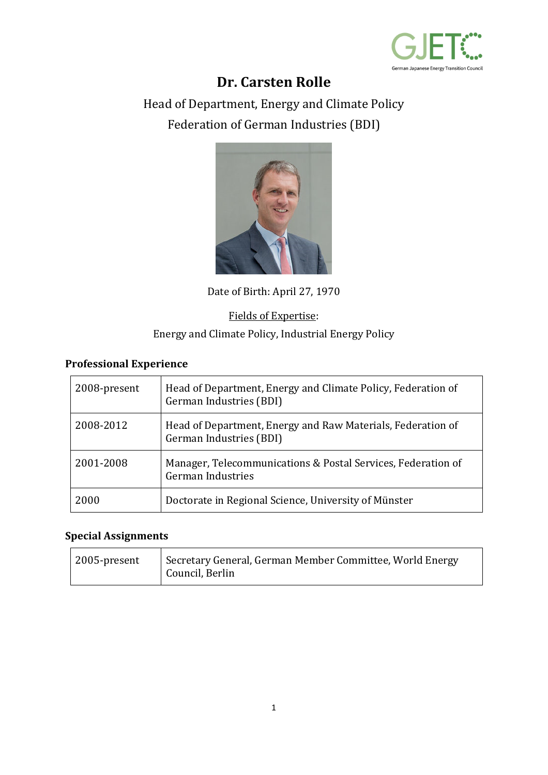

# **Dr. Carsten Rolle**

Head of Department, Energy and Climate Policy Federation of German Industries (BDI)



Date of Birth: April 27, 1970

#### Fields of Expertise:

#### Energy and Climate Policy, Industrial Energy Policy

## **Professional Experience**

| 2008-present | Head of Department, Energy and Climate Policy, Federation of<br>German Industries (BDI)  |
|--------------|------------------------------------------------------------------------------------------|
| 2008-2012    | Head of Department, Energy and Raw Materials, Federation of<br>German Industries (BDI)   |
| 2001-2008    | Manager, Telecommunications & Postal Services, Federation of<br><b>German Industries</b> |
| 2000         | Doctorate in Regional Science, University of Münster                                     |

## **Special Assignments**

| 2005-present | Secretary General, German Member Committee, World Energy<br>Council, Berlin |
|--------------|-----------------------------------------------------------------------------|
|              |                                                                             |